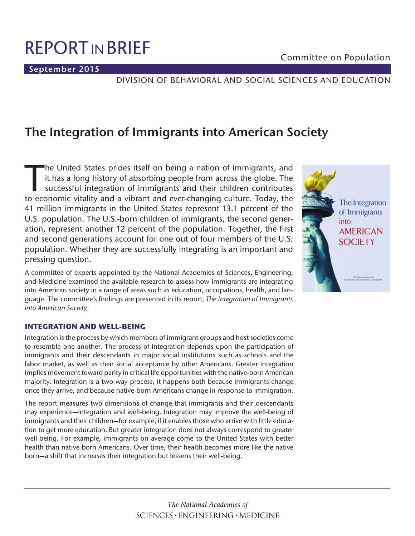**September 2015**

# DIVISION OF BEHAVIORAL AND SOCIAL SCIENCES AND EDUCATION

# **The Integration of Immigrants into American Society**

The United States prides itself on being a nation of immigrants, and<br>it has a long history of absorbing people from across the globe. The<br>successful integration of immigrants and their children contributes<br>to economic vita it has a long history of absorbing people from across the globe. The successful integration of immigrants and their children contributes to economic vitality and a vibrant and ever-changing culture. Today, the 41 million immigrants in the United States represent 13.1 percent of the U.S. population. The U.S.-born children of immigrants, the second generation, represent another 12 percent of the population. Together, the first and second generations account for one out of four members of the U.S. population. Whether they are successfully integrating is an important and pressing question.

A committee of experts appointed by the National Academies of Sciences, Engineering, and Medicine examined the available research to assess how immigrants are integrating into American society in a range of areas such as education, occupations, health, and language. The committee's findings are presented in its report, *The Integration of Immigrants into American Society*.



# **INTEGRATION AND WELL-BEING**

Integration is the process by which members of immigrant groups and host societies come to resemble one another. The process of integration depends upon the participation of immigrants and their descendants in major social institutions such as schools and the labor market, as well as their social acceptance by other Americans. Greater integration implies movement toward parity in critical life opportunities with the native-born American majority. Integration is a two-way process; it happens both because immigrants change once they arrive, and because native-born Americans change in response to immigration.

The report measures two dimensions of change that immigrants and their descendants may experience—integration and well-being. Integration may improve the well-being of immigrants and their children—for example, if it enables those who arrive with little education to get more education. But greater integration does not always correspond to greater well-being. For example, immigrants on average come to the United States with better health than native-born Americans. Over time, their health becomes more like the native born—a shift that increases their integration but lessens their well-being.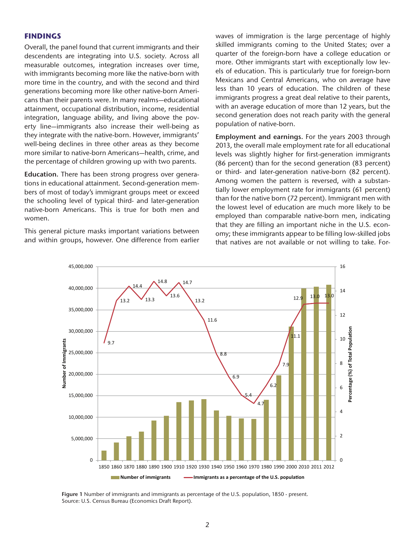#### **FINDINGS**

Overall, the panel found that current immigrants and their descendents are integrating into U.S. society. Across all measurable outcomes, integration increases over time, with immigrants becoming more like the native-born with more time in the country, and with the second and third generations becoming more like other native-born Americans than their parents were. In many realms—educational attainment, occupational distribution, income, residential integration, language ability, and living above the poverty line—immigrants also increase their well-being as they integrate with the native-born. However, immigrants' well-being declines in three other areas as they become more similar to native-born Americans—health, crime, and the percentage of children growing up with two parents.

**Education.** There has been strong progress over generations in educational attainment. Second-generation members of most of today's immigrant groups meet or exceed the schooling level of typical third- and later-generation native-born Americans. This is true for both men and women.

This general picture masks important variations between and within groups, however. One difference from earlier waves of immigration is the large percentage of highly skilled immigrants coming to the United States; over a quarter of the foreign-born have a college education or more. Other immigrants start with exceptionally low levels of education. This is particularly true for foreign-born Mexicans and Central Americans, who on average have less than 10 years of education. The children of these immigrants progress a great deal relative to their parents, with an average education of more than 12 years, but the second generation does not reach parity with the general population of native-born.

**Employment and earnings.** For the years 2003 through 2013, the overall male employment rate for all educational levels was slightly higher for first-generation immigrants (86 percent) than for the second generation (83 percent) or third- and later-generation native-born (82 percent). Among women the pattern is reversed, with a substantially lower employment rate for immigrants (61 percent) than for the native born (72 percent). Immigrant men with the lowest level of education are much more likely to be employed than comparable native-born men, indicating that they are filling an important niche in the U.S. economy; these immigrants appear to be filling low-skilled jobs that natives are not available or not willing to take. For-



**Figure 1** Number of immigrants and immigrants as percentage of the U.S. population, 1850 - present. Source: U.S. Census Bureau (Economics Draft Report).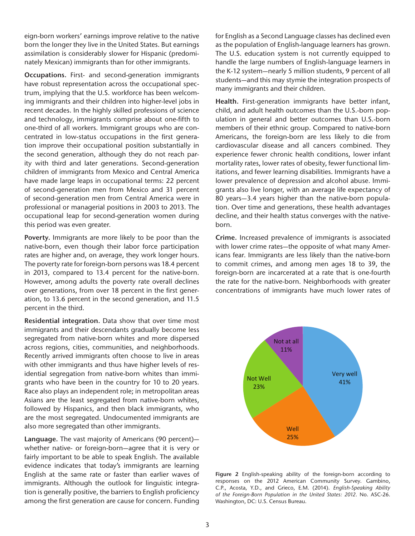eign-born workers' earnings improve relative to the native born the longer they live in the United States. But earnings assimilation is considerably slower for Hispanic (predominately Mexican) immigrants than for other immigrants.

**Occupations.** First- and second-generation immigrants have robust representation across the occupational spectrum, implying that the U.S. workforce has been welcoming immigrants and their children into higher-level jobs in recent decades. In the highly skilled professions of science and technology, immigrants comprise about one-fifth to one-third of all workers. Immigrant groups who are concentrated in low-status occupations in the first generation improve their occupational position substantially in the second generation, although they do not reach parity with third and later generations. Second-generation children of immigrants from Mexico and Central America have made large leaps in occupational terms: 22 percent of second-generation men from Mexico and 31 percent of second-generation men from Central America were in professional or managerial positions in 2003 to 2013. The occupational leap for second-generation women during this period was even greater.

**Poverty.** Immigrants are more likely to be poor than the native-born, even though their labor force participation rates are higher and, on average, they work longer hours. The poverty rate for foreign-born persons was 18.4 percent in 2013, compared to 13.4 percent for the native-born. However, among adults the poverty rate overall declines over generations, from over 18 percent in the first generation, to 13.6 percent in the second generation, and 11.5 percent in the third.

**Residential integration.** Data show that over time most immigrants and their descendants gradually become less segregated from native-born whites and more dispersed across regions, cities, communities, and neighborhoods. Recently arrived immigrants often choose to live in areas with other immigrants and thus have higher levels of residential segregation from native-born whites than immigrants who have been in the country for 10 to 20 years. Race also plays an independent role; in metropolitan areas Asians are the least segregated from native-born whites, followed by Hispanics, and then black immigrants, who are the most segregated. Undocumented immigrants are also more segregated than other immigrants.

**Language.** The vast majority of Americans (90 percent) whether native- or foreign-born—agree that it is very or fairly important to be able to speak English. The available evidence indicates that today's immigrants are learning English at the same rate or faster than earlier waves of immigrants. Although the outlook for linguistic integration is generally positive, the barriers to English proficiency among the first generation are cause for concern. Funding for English as a Second Language classes has declined even as the population of English-language learners has grown. The U.S. education system is not currently equipped to handle the large numbers of English-language learners in the K-12 system—nearly 5 million students, 9 percent of all students—and this may stymie the integration prospects of many immigrants and their children.

**Health.** First-generation immigrants have better infant, child, and adult health outcomes than the U.S.-born population in general and better outcomes than U.S.-born members of their ethnic group. Compared to native-born Americans, the foreign-born are less likely to die from cardiovascular disease and all cancers combined. They experience fewer chronic health conditions, lower infant mortality rates, lower rates of obesity, fewer functional limitations, and fewer learning disabilities. Immigrants have a lower prevalence of depression and alcohol abuse. Immigrants also live longer, with an average life expectancy of 80 years—3.4 years higher than the native-born population. Over time and generations, these health advantages decline, and their health status converges with the nativeborn.

**Crime.** Increased prevalence of immigrants is associated with lower crime rates—the opposite of what many Americans fear. Immigrants are less likely than the native-born to commit crimes, and among men ages 18 to 39, the foreign-born are incarcerated at a rate that is one-fourth the rate for the native-born. Neighborhoods with greater concentrations of immigrants have much lower rates of



**Figure 2** English-speaking ability of the foreign-born according to responses on the 2012 American Community Survey. Gambino, C.P., Acosta, Y.D., and Grieco, E.M. (2014). *English-Speaking Ability of the Foreign-Born Population in the United States: 2012*. No. ASC-26. Washington, DC: U.S. Census Bureau.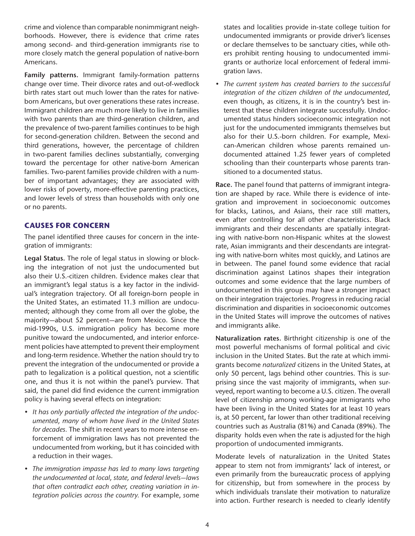crime and violence than comparable nonimmigrant neighborhoods. However, there is evidence that crime rates among second- and third-generation immigrants rise to more closely match the general population of native-born Americans.

**Family patterns.** Immigrant family-formation patterns change over time. Their divorce rates and out-of-wedlock birth rates start out much lower than the rates for nativeborn Americans, but over generations these rates increase. Immigrant children are much more likely to live in families with two parents than are third-generation children, and the prevalence of two-parent families continues to be high for second-generation children. Between the second and third generations, however, the percentage of children in two-parent families declines substantially, converging toward the percentage for other native-born American families. Two-parent families provide children with a number of important advantages; they are associated with lower risks of poverty, more-effective parenting practices, and lower levels of stress than households with only one or no parents.

# **CAUSES FOR CONCERN**

The panel identified three causes for concern in the integration of immigrants:

**Legal Status.** The role of legal status in slowing or blocking the integration of not just the undocumented but also their U.S.-citizen children. Evidence makes clear that an immigrant's legal status is a key factor in the individual's integration trajectory. Of all foreign-born people in the United States, an estimated 11.3 million are undocumented; although they come from all over the globe, the majority—about 52 percent—are from Mexico. Since the mid-1990s, U.S. immigration policy has become more punitive toward the undocumented, and interior enforcement policies have attempted to prevent their employment and long-term residence. Whether the nation should try to prevent the integration of the undocumented or provide a path to legalization is a political question, not a scientific one, and thus it is not within the panel's purview. That said, the panel did find evidence the current immigration policy is having several effects on integration:

- *It has only partially affected the integration of the undocumented, many of whom have lived in the United States for decades.* The shift in recent years to more intense enforcement of immigration laws has not prevented the undocumented from working, but it has coincided with a reduction in their wages.
- *The immigration impasse has led to many laws targeting the undocumented at local, state, and federal levels—laws that often contradict each other, creating variation in integration policies across the country.* For example, *s*ome

states and localities provide in-state college tuition for undocumented immigrants or provide driver's licenses or declare themselves to be sanctuary cities, while others prohibit renting housing to undocumented immigrants or authorize local enforcement of federal immigration laws.

*• The current system has created barriers to the successful integration of the citizen children of the undocumented*, even though, as citizens, it is in the country's best interest that these children integrate successfully. Undocumented status hinders socioeconomic integration not just for the undocumented immigrants themselves but also for their U.S.-born children. For example, Mexican-American children whose parents remained undocumented attained 1.25 fewer years of completed schooling than their counterparts whose parents transitioned to a documented status.

**Race.** The panel found that patterns of immigrant integration are shaped by race. While there is evidence of integration and improvement in socioeconomic outcomes for blacks, Latinos, and Asians, their race still matters, even after controlling for all other characteristics. Black immigrants and their descendants are spatially integrating with native-born non-Hispanic whites at the slowest rate, Asian immigrants and their descendants are integrating with native-born whites most quickly, and Latinos are in between. The panel found some evidence that racial discrimination against Latinos shapes their integration outcomes and some evidence that the large numbers of undocumented in this group may have a stronger impact on their integration trajectories. Progress in reducing racial discrimination and disparities in socioeconomic outcomes in the United States will improve the outcomes of natives and immigrants alike.

**Naturalization rates.** Birthright citizenship is one of the most powerful mechanisms of formal political and civic inclusion in the United States. But the rate at which immigrants become *naturalized* citizens in the United States, at only 50 percent, lags behind other countries. This is surprising since the vast majority of immigrants, when surveyed, report wanting to become a U.S. citizen. The overall level of citizenship among working-age immigrants who have been living in the United States for at least 10 years is, at 50 percent, far lower than other traditional receiving countries such as Australia (81%) and Canada (89%). The disparity holds even when the rate is adjusted for the high proportion of undocumented immigrants.

Moderate levels of naturalization in the United States appear to stem not from immigrants' lack of interest, or even primarily from the bureaucratic process of applying for citizenship, but from somewhere in the process by which individuals translate their motivation to naturalize into action. Further research is needed to clearly identify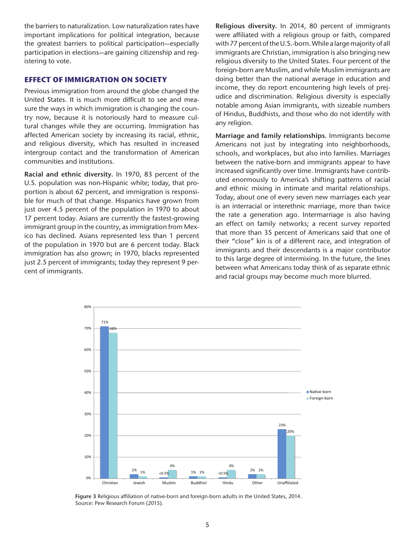the barriers to naturalization. Low naturalization rates have important implications for political integration, because the greatest barriers to political participation—especially participation in elections—are gaining citizenship and registering to vote.

#### **EFFECT OF IMMIGRATION ON SOCIETY**

Previous immigration from around the globe changed the United States. It is much more difficult to see and measure the ways in which immigration is changing the country now, because it is notoriously hard to measure cultural changes while they are occurring. Immigration has affected American society by increasing its racial, ethnic, and religious diversity, which has resulted in increased intergroup contact and the transformation of American communities and institutions.

**Racial and ethnic diversity.** In 1970, 83 percent of the U.S. population was non-Hispanic white; today, that proportion is about 62 percent, and immigration is responsible for much of that change. Hispanics have grown from just over 4.5 percent of the population in 1970 to about 17 percent today. Asians are currently the fastest-growing immigrant group in the country, as immigration from Mexico has declined. Asians represented less than 1 percent of the population in 1970 but are 6 percent today. Black immigration has also grown; in 1970, blacks represented just 2.5 percent of immigrants; today they represent 9 percent of immigrants.

**Religious diversity.** In 2014, 80 percent of immigrants were affiliated with a religious group or faith, compared with 77 percent of the U.S.-born. While a large majority of all immigrants are Christian, immigration is also bringing new religious diversity to the United States. Four percent of the foreign-born are Muslim, and while Muslim immigrants are doing better than the national average in education and income, they do report encountering high levels of prejudice and discrimination. Religious diversity is especially notable among Asian immigrants, with sizeable numbers of Hindus, Buddhists, and those who do not identify with any religion.

**Marriage and family relationships.** Immigrants become Americans not just by integrating into neighborhoods, schools, and workplaces, but also into families. Marriages between the native-born and immigrants appear to have increased significantly over time. Immigrants have contributed enormously to America's shifting patterns of racial and ethnic mixing in intimate and marital relationships. Today, about one of every seven new marriages each year is an interracial or interethnic marriage, more than twice the rate a generation ago. Intermarriage is also having an effect on family networks; a recent survey reported that more than 35 percent of Americans said that one of their "close" kin is of a different race, and integration of immigrants and their descendants is a major contributor to this large degree of intermixing. In the future, the lines between what Americans today think of as separate ethnic and racial groups may become much more blurred.



Figure 3 Religious affiliation of native-born and foreign-born adults in the United States, 2014. Source: Pew Research Forum (2015).